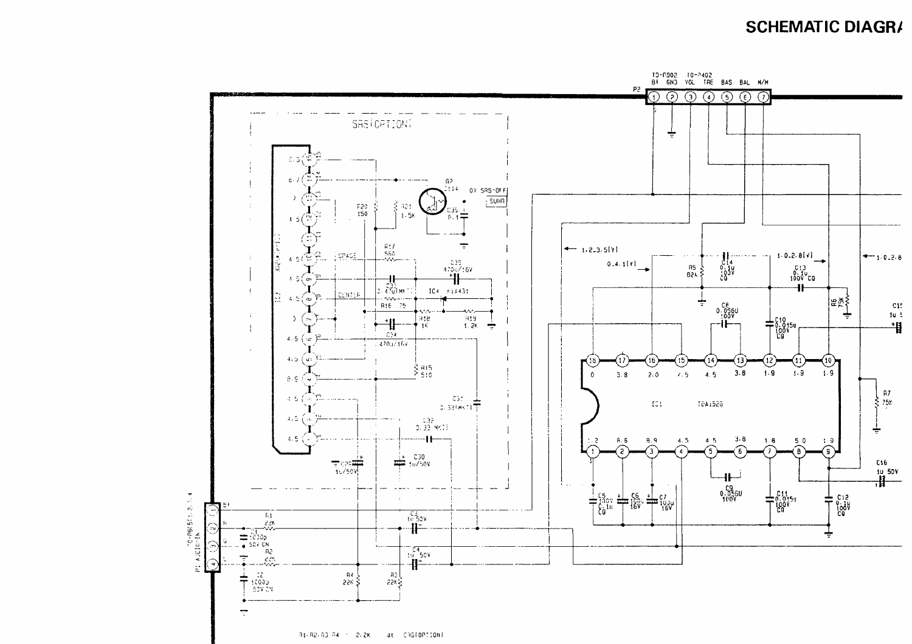## **SCHEMATIC DIAGR/**

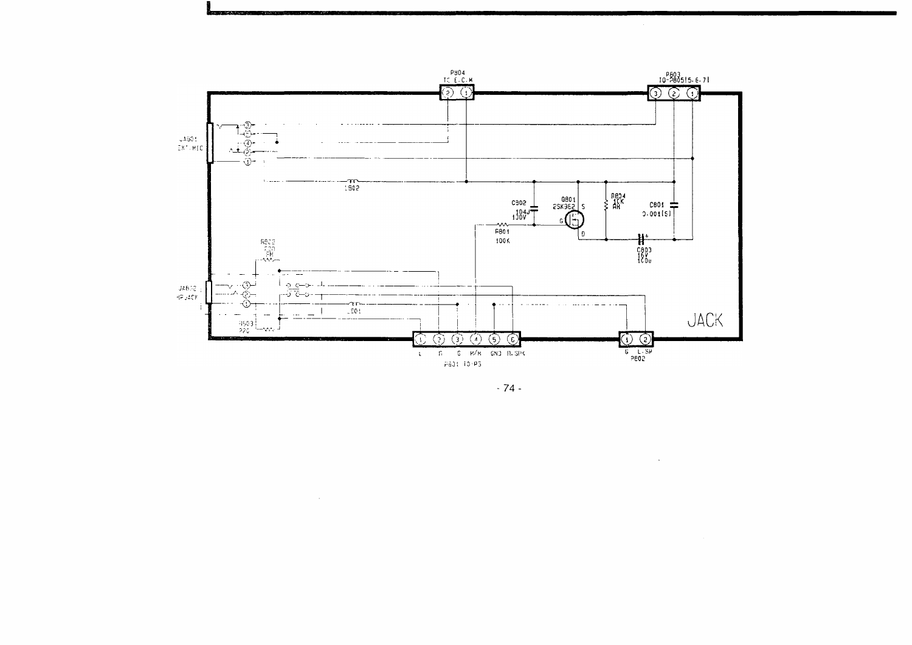

 $\sim$ 

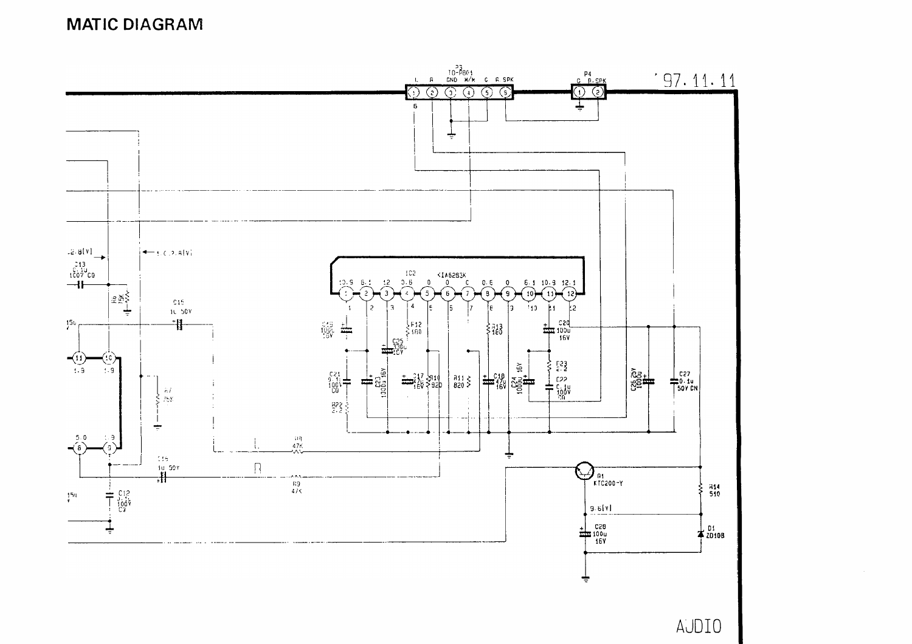## **MATIC DIAGRAM**

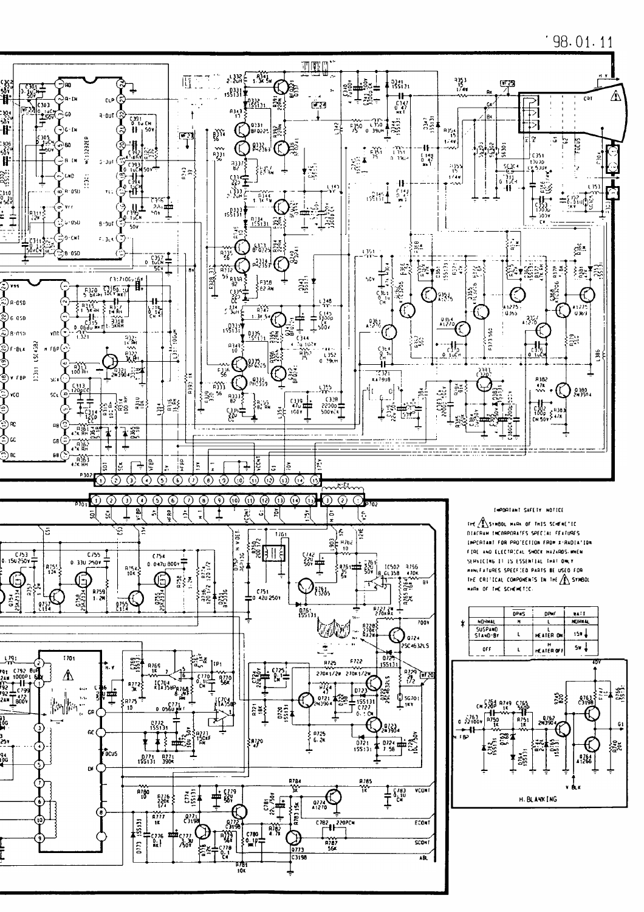## 98.01.11

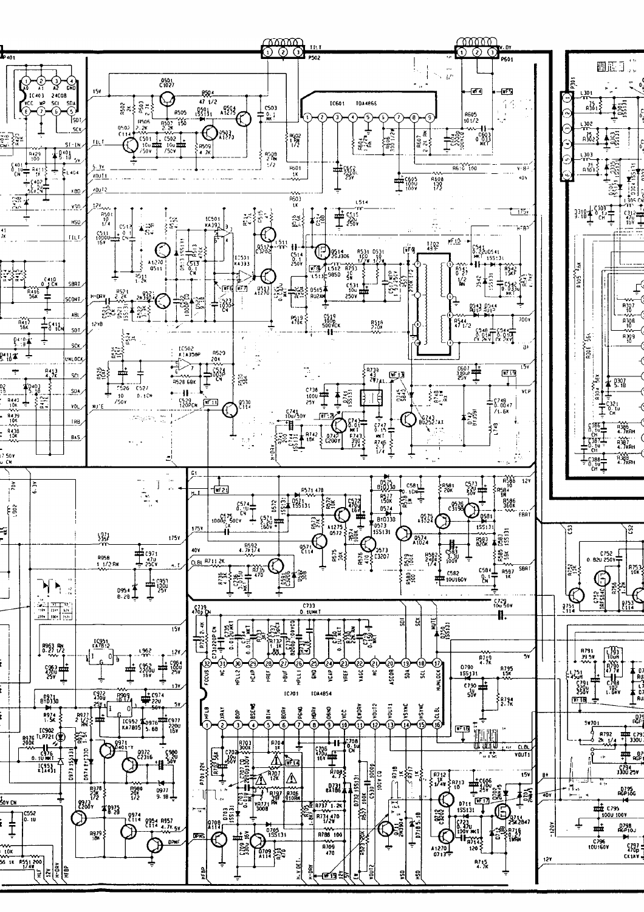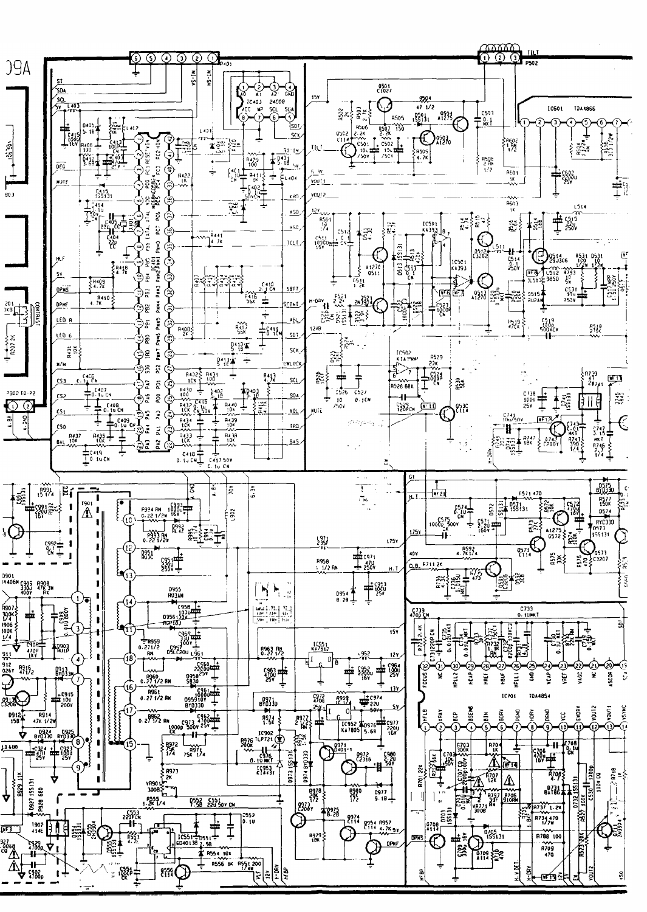